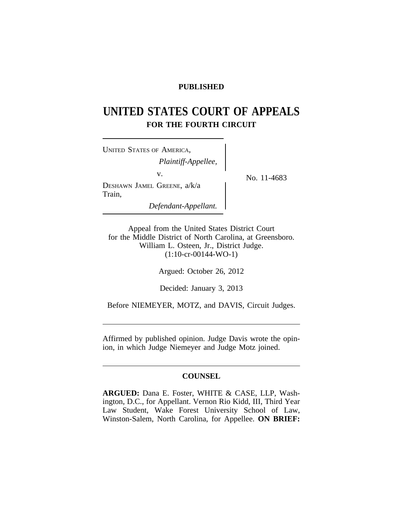## **PUBLISHED**

# **UNITED STATES COURT OF APPEALS FOR THE FOURTH CIRCUIT**

<sup>U</sup>NITED STATES OF AMERICA, *Plaintiff-Appellee,* v.  $N_{\rm O. 11-4683}$ DESHAWN JAMEL GREENE, a/k/a Train, *Defendant-Appellant.*

Appeal from the United States District Court for the Middle District of North Carolina, at Greensboro. William L. Osteen, Jr., District Judge. (1:10-cr-00144-WO-1)

Argued: October 26, 2012

Decided: January 3, 2013

Before NIEMEYER, MOTZ, and DAVIS, Circuit Judges.

Affirmed by published opinion. Judge Davis wrote the opinion, in which Judge Niemeyer and Judge Motz joined.

# **COUNSEL**

**ARGUED:** Dana E. Foster, WHITE & CASE, LLP, Washington, D.C., for Appellant. Vernon Rio Kidd, III, Third Year Law Student, Wake Forest University School of Law, Winston-Salem, North Carolina, for Appellee. **ON BRIEF:**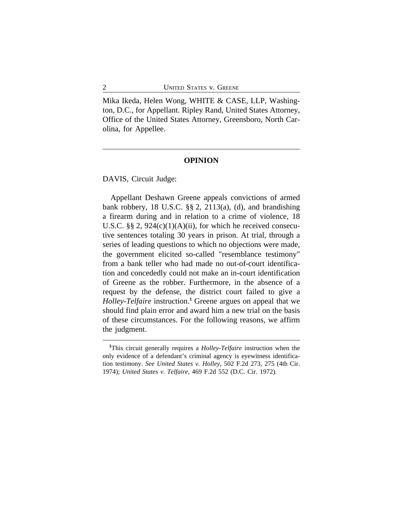Mika Ikeda, Helen Wong, WHITE & CASE, LLP, Washington, D.C., for Appellant. Ripley Rand, United States Attorney, Office of the United States Attorney, Greensboro, North Carolina, for Appellee.

#### **OPINION**

DAVIS, Circuit Judge:

Appellant Deshawn Greene appeals convictions of armed bank robbery, 18 U.S.C. §§ 2, 2113(a), (d), and brandishing a firearm during and in relation to a crime of violence, 18 U.S.C.  $\S$ § 2, 924(c)(1)(A)(ii), for which he received consecutive sentences totaling 30 years in prison. At trial, through a series of leading questions to which no objections were made, the government elicited so-called "resemblance testimony" from a bank teller who had made no out-of-court identification and concededly could not make an in-court identification of Greene as the robber. Furthermore, in the absence of a request by the defense, the district court failed to give a *Holley*-*Telfaire* instruction.**<sup>1</sup>** Greene argues on appeal that we should find plain error and award him a new trial on the basis of these circumstances. For the following reasons, we affirm the judgment.

**<sup>1</sup>**This circuit generally requires a *Holley*-*Telfaire* instruction when the only evidence of a defendant's criminal agency is eyewitness identification testimony. *See United States v. Holley*, 502 F.2d 273, 275 (4th Cir. 1974); *United States v. Telfaire*, 469 F.2d 552 (D.C. Cir. 1972).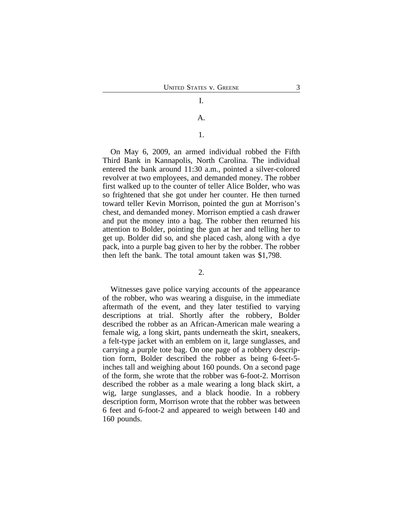#### A.

#### 1.

On May 6, 2009, an armed individual robbed the Fifth Third Bank in Kannapolis, North Carolina. The individual entered the bank around 11:30 a.m., pointed a silver-colored revolver at two employees, and demanded money. The robber first walked up to the counter of teller Alice Bolder, who was so frightened that she got under her counter. He then turned toward teller Kevin Morrison, pointed the gun at Morrison's chest, and demanded money. Morrison emptied a cash drawer and put the money into a bag. The robber then returned his attention to Bolder, pointing the gun at her and telling her to get up. Bolder did so, and she placed cash, along with a dye pack, into a purple bag given to her by the robber. The robber then left the bank. The total amount taken was \$1,798.

#### $2<sub>1</sub>$

Witnesses gave police varying accounts of the appearance of the robber, who was wearing a disguise, in the immediate aftermath of the event, and they later testified to varying descriptions at trial. Shortly after the robbery, Bolder described the robber as an African-American male wearing a female wig, a long skirt, pants underneath the skirt, sneakers, a felt-type jacket with an emblem on it, large sunglasses, and carrying a purple tote bag. On one page of a robbery description form, Bolder described the robber as being 6-feet-5 inches tall and weighing about 160 pounds. On a second page of the form, she wrote that the robber was 6-foot-2. Morrison described the robber as a male wearing a long black skirt, a wig, large sunglasses, and a black hoodie. In a robbery description form, Morrison wrote that the robber was between 6 feet and 6-foot-2 and appeared to weigh between 140 and 160 pounds.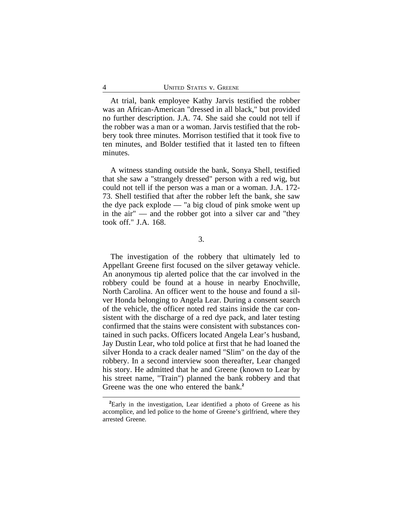At trial, bank employee Kathy Jarvis testified the robber was an African-American "dressed in all black," but provided no further description. J.A. 74. She said she could not tell if the robber was a man or a woman. Jarvis testified that the robbery took three minutes. Morrison testified that it took five to ten minutes, and Bolder testified that it lasted ten to fifteen minutes.

A witness standing outside the bank, Sonya Shell, testified that she saw a "strangely dressed" person with a red wig, but could not tell if the person was a man or a woman. J.A. 172- 73. Shell testified that after the robber left the bank, she saw the dye pack explode — "a big cloud of pink smoke went up in the air" — and the robber got into a silver car and "they took off." J.A. 168.

3.

The investigation of the robbery that ultimately led to Appellant Greene first focused on the silver getaway vehicle. An anonymous tip alerted police that the car involved in the robbery could be found at a house in nearby Enochville, North Carolina. An officer went to the house and found a silver Honda belonging to Angela Lear. During a consent search of the vehicle, the officer noted red stains inside the car consistent with the discharge of a red dye pack, and later testing confirmed that the stains were consistent with substances contained in such packs. Officers located Angela Lear's husband, Jay Dustin Lear, who told police at first that he had loaned the silver Honda to a crack dealer named "Slim" on the day of the robbery. In a second interview soon thereafter, Lear changed his story. He admitted that he and Greene (known to Lear by his street name, "Train") planned the bank robbery and that Greene was the one who entered the bank.**<sup>2</sup>**

**<sup>2</sup>**Early in the investigation, Lear identified a photo of Greene as his accomplice, and led police to the home of Greene's girlfriend, where they arrested Greene.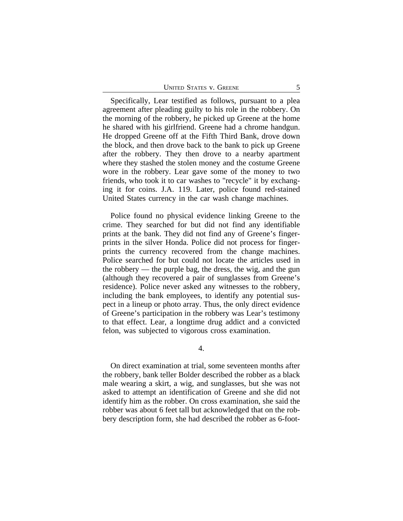| <b>UNITED STATES V. GREENE</b> |  |
|--------------------------------|--|
|--------------------------------|--|

Specifically, Lear testified as follows, pursuant to a plea agreement after pleading guilty to his role in the robbery. On the morning of the robbery, he picked up Greene at the home he shared with his girlfriend. Greene had a chrome handgun. He dropped Greene off at the Fifth Third Bank, drove down the block, and then drove back to the bank to pick up Greene after the robbery. They then drove to a nearby apartment where they stashed the stolen money and the costume Greene wore in the robbery. Lear gave some of the money to two friends, who took it to car washes to "recycle" it by exchanging it for coins. J.A. 119. Later, police found red-stained United States currency in the car wash change machines.

Police found no physical evidence linking Greene to the crime. They searched for but did not find any identifiable prints at the bank. They did not find any of Greene's fingerprints in the silver Honda. Police did not process for fingerprints the currency recovered from the change machines. Police searched for but could not locate the articles used in the robbery — the purple bag, the dress, the wig, and the gun (although they recovered a pair of sunglasses from Greene's residence). Police never asked any witnesses to the robbery, including the bank employees, to identify any potential suspect in a lineup or photo array. Thus, the only direct evidence of Greene's participation in the robbery was Lear's testimony to that effect. Lear, a longtime drug addict and a convicted felon, was subjected to vigorous cross examination.

4.

On direct examination at trial, some seventeen months after the robbery, bank teller Bolder described the robber as a black male wearing a skirt, a wig, and sunglasses, but she was not asked to attempt an identification of Greene and she did not identify him as the robber. On cross examination, she said the robber was about 6 feet tall but acknowledged that on the robbery description form, she had described the robber as 6-foot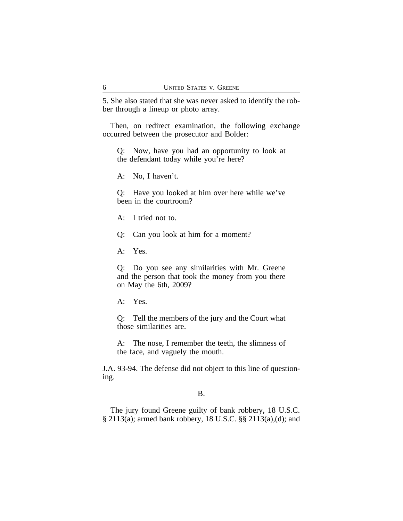5. She also stated that she was never asked to identify the robber through a lineup or photo array.

Then, on redirect examination, the following exchange occurred between the prosecutor and Bolder:

Q: Now, have you had an opportunity to look at the defendant today while you're here?

A: No, I haven't.

Q: Have you looked at him over here while we've been in the courtroom?

A: I tried not to.

Q: Can you look at him for a moment?

A: Yes.

Q: Do you see any similarities with Mr. Greene and the person that took the money from you there on May the 6th, 2009?

A: Yes.

Q: Tell the members of the jury and the Court what those similarities are.

A: The nose, I remember the teeth, the slimness of the face, and vaguely the mouth.

J.A. 93-94. The defense did not object to this line of questioning.

#### B.

The jury found Greene guilty of bank robbery, 18 U.S.C. § 2113(a); armed bank robbery, 18 U.S.C. §§ 2113(a),(d); and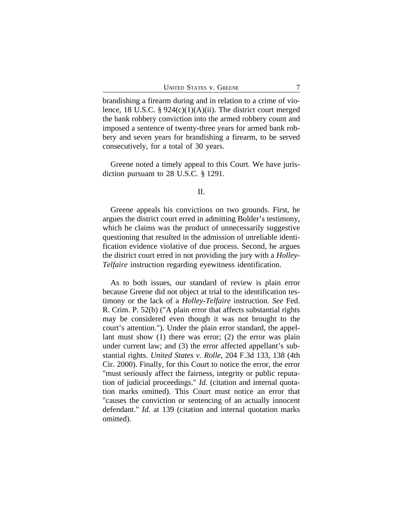brandishing a firearm during and in relation to a crime of violence, 18 U.S.C.  $\S 924(c)(1)(A)(ii)$ . The district court merged the bank robbery conviction into the armed robbery count and imposed a sentence of twenty-three years for armed bank robbery and seven years for brandishing a firearm, to be served consecutively, for a total of 30 years.

Greene noted a timely appeal to this Court. We have jurisdiction pursuant to 28 U.S.C. § 1291.

#### II.

Greene appeals his convictions on two grounds. First, he argues the district court erred in admitting Bolder's testimony, which he claims was the product of unnecessarily suggestive questioning that resulted in the admission of unreliable identification evidence violative of due process. Second, he argues the district court erred in not providing the jury with a *Holley*-*Telfaire* instruction regarding eyewitness identification.

As to both issues, our standard of review is plain error because Greene did not object at trial to the identification testimony or the lack of a *Holley*-*Telfaire* instruction. *See* Fed. R. Crim. P. 52(b) ("A plain error that affects substantial rights may be considered even though it was not brought to the court's attention."). Under the plain error standard, the appellant must show (1) there was error; (2) the error was plain under current law; and (3) the error affected appellant's substantial rights. *United States v. Rolle*, 204 F.3d 133, 138 (4th Cir. 2000). Finally, for this Court to notice the error, the error "must seriously affect the fairness, integrity or public reputation of judicial proceedings." *Id.* (citation and internal quotation marks omitted). This Court must notice an error that "causes the conviction or sentencing of an actually innocent defendant." *Id.* at 139 (citation and internal quotation marks omitted).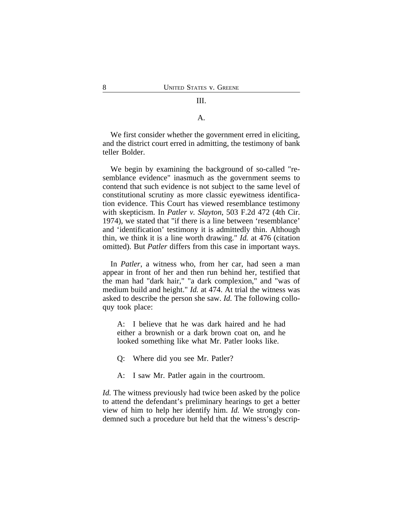## III.

A.

We first consider whether the government erred in eliciting, and the district court erred in admitting, the testimony of bank teller Bolder.

We begin by examining the background of so-called "resemblance evidence" inasmuch as the government seems to contend that such evidence is not subject to the same level of constitutional scrutiny as more classic eyewitness identification evidence. This Court has viewed resemblance testimony with skepticism. In *Patler v. Slayton*, 503 F.2d 472 (4th Cir. 1974), we stated that "if there is a line between 'resemblance' and 'identification' testimony it is admittedly thin. Although thin, we think it is a line worth drawing." *Id.* at 476 (citation omitted). But *Patler* differs from this case in important ways.

In *Patler*, a witness who, from her car, had seen a man appear in front of her and then run behind her, testified that the man had "dark hair," "a dark complexion," and "was of medium build and height." *Id.* at 474. At trial the witness was asked to describe the person she saw. *Id.* The following colloquy took place:

A: I believe that he was dark haired and he had either a brownish or a dark brown coat on, and he looked something like what Mr. Patler looks like.

Q: Where did you see Mr. Patler?

A: I saw Mr. Patler again in the courtroom.

*Id.* The witness previously had twice been asked by the police to attend the defendant's preliminary hearings to get a better view of him to help her identify him. *Id.* We strongly condemned such a procedure but held that the witness's descrip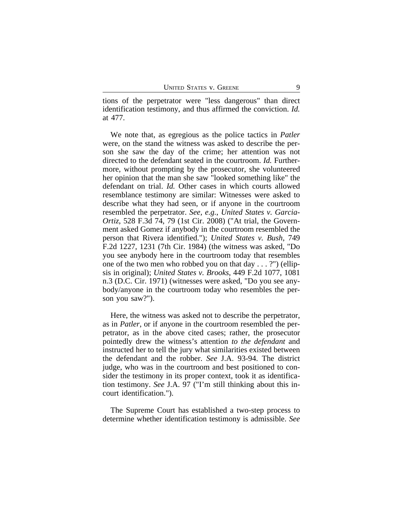tions of the perpetrator were "less dangerous" than direct identification testimony, and thus affirmed the conviction. *Id.* at 477.

We note that, as egregious as the police tactics in *Patler* were, on the stand the witness was asked to describe the person she saw the day of the crime; her attention was not directed to the defendant seated in the courtroom. *Id.* Furthermore, without prompting by the prosecutor, she volunteered her opinion that the man she saw "looked something like" the defendant on trial. *Id.* Other cases in which courts allowed resemblance testimony are similar: Witnesses were asked to describe what they had seen, or if anyone in the courtroom resembled the perpetrator. *See, e.g.*, *United States v. Garcia-Ortiz*, 528 F.3d 74, 79 (1st Cir. 2008) ("At trial, the Government asked Gomez if anybody in the courtroom resembled the person that Rivera identified."); *United States v. Bush*, 749 F.2d 1227, 1231 (7th Cir. 1984) (the witness was asked, "Do you see anybody here in the courtroom today that resembles one of the two men who robbed you on that day . . . ?") (ellipsis in original); *United States v. Brooks*, 449 F.2d 1077, 1081 n.3 (D.C. Cir. 1971) (witnesses were asked, "Do you see anybody/anyone in the courtroom today who resembles the person you saw?").

Here, the witness was asked not to describe the perpetrator, as in *Patler*, or if anyone in the courtroom resembled the perpetrator, as in the above cited cases; rather, the prosecutor pointedly drew the witness's attention *to the defendant* and instructed her to tell the jury what similarities existed between the defendant and the robber. *See* J.A. 93-94. The district judge, who was in the courtroom and best positioned to consider the testimony in its proper context, took it as identification testimony. *See* J.A. 97 ("I'm still thinking about this incourt identification.").

The Supreme Court has established a two-step process to determine whether identification testimony is admissible. *See*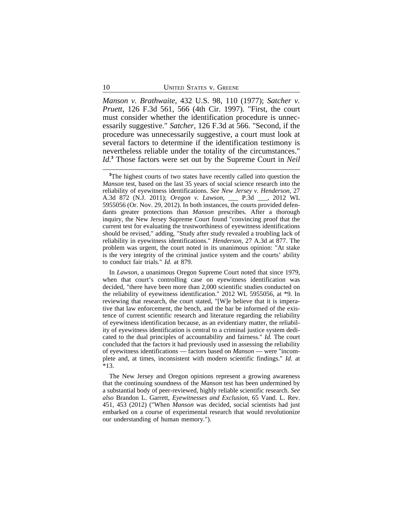*Manson v. Brathwaite*, 432 U.S. 98, 110 (1977); *Satcher v. Pruett*, 126 F.3d 561, 566 (4th Cir. 1997). "First, the court must consider whether the identification procedure is unnecessarily suggestive." *Satcher*, 126 F.3d at 566. "Second, if the procedure was unnecessarily suggestive, a court must look at several factors to determine if the identification testimony is nevertheless reliable under the totality of the circumstances." *Id.***<sup>3</sup>** Those factors were set out by the Supreme Court in *Neil*

In *Lawson*, a unanimous Oregon Supreme Court noted that since 1979, when that court's controlling case on eyewitness identification was decided, "there have been more than 2,000 scientific studies conducted on the reliability of eyewitness identification." 2012 WL 5955056, at \*9. In reviewing that research, the court stated, "[W]e believe that it is imperative that law enforcement, the bench, and the bar be informed of the existence of current scientific research and literature regarding the reliability of eyewitness identification because, as an evidentiary matter, the reliability of eyewitness identification is central to a criminal justice system dedicated to the dual principles of accountability and fairness." *Id.* The court concluded that the factors it had previously used in assessing the reliability of eyewitness identifications — factors based on *Manson* — were "incomplete and, at times, inconsistent with modern scientific findings." *Id.* at \*13.

The New Jersey and Oregon opinions represent a growing awareness that the continuing soundness of the *Manson* test has been undermined by a substantial body of peer-reviewed, highly reliable scientific research. *See also* Brandon L. Garrett, *Eyewitnesses and Exclusion*, 65 Vand. L. Rev. 451, 453 (2012) ("When *Manson* was decided, social scientists had just embarked on a course of experimental research that would revolutionize our understanding of human memory.").

<sup>&</sup>lt;sup>3</sup>The highest courts of two states have recently called into question the *Manson* test, based on the last 35 years of social science research into the reliability of eyewitness identifications. *See New Jersey v. Henderson*, 27 A.3d 872 (N.J. 2011); *Oregon v. Lawson*, \_\_\_ P.3d \_\_\_, 2012 WL 5955056 (Or. Nov. 29, 2012). In both instances, the courts provided defendants greater protections than *Manson* prescribes. After a thorough inquiry, the New Jersey Supreme Court found "convincing proof that the current test for evaluating the trustworthiness of eyewitness identifications should be revised," adding, "Study after study revealed a troubling lack of reliability in eyewitness identifications." *Henderson*, 27 A.3d at 877. The problem was urgent, the court noted in its unanimous opinion: "At stake is the very integrity of the criminal justice system and the courts' ability to conduct fair trials." *Id.* at 879.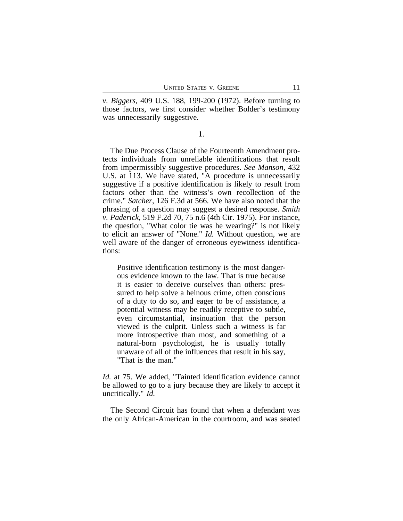*v. Biggers*, 409 U.S. 188, 199-200 (1972). Before turning to those factors, we first consider whether Bolder's testimony was unnecessarily suggestive.

1.

The Due Process Clause of the Fourteenth Amendment protects individuals from unreliable identifications that result from impermissibly suggestive procedures. *See Manson*, 432 U.S. at 113. We have stated, "A procedure is unnecessarily suggestive if a positive identification is likely to result from factors other than the witness's own recollection of the crime." *Satcher*, 126 F.3d at 566. We have also noted that the phrasing of a question may suggest a desired response. *Smith v. Paderick*, 519 F.2d 70, 75 n.6 (4th Cir. 1975). For instance, the question, "What color tie was he wearing?" is not likely to elicit an answer of "None." *Id.* Without question, we are well aware of the danger of erroneous eyewitness identifications:

Positive identification testimony is the most dangerous evidence known to the law. That is true because it is easier to deceive ourselves than others: pressured to help solve a heinous crime, often conscious of a duty to do so, and eager to be of assistance, a potential witness may be readily receptive to subtle, even circumstantial, insinuation that the person viewed is the culprit. Unless such a witness is far more introspective than most, and something of a natural-born psychologist, he is usually totally unaware of all of the influences that result in his say, "That is the man."

*Id.* at 75. We added, "Tainted identification evidence cannot be allowed to go to a jury because they are likely to accept it uncritically." *Id.*

The Second Circuit has found that when a defendant was the only African-American in the courtroom, and was seated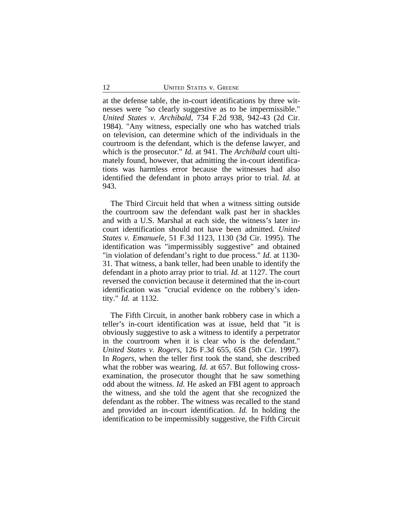at the defense table, the in-court identifications by three witnesses were "so clearly suggestive as to be impermissible." *United States v. Archibald*, 734 F.2d 938, 942-43 (2d Cir. 1984). "Any witness, especially one who has watched trials on television, can determine which of the individuals in the courtroom is the defendant, which is the defense lawyer, and which is the prosecutor." *Id.* at 941. The *Archibald* court ultimately found, however, that admitting the in-court identifications was harmless error because the witnesses had also identified the defendant in photo arrays prior to trial. *Id.* at 943.

The Third Circuit held that when a witness sitting outside the courtroom saw the defendant walk past her in shackles and with a U.S. Marshal at each side, the witness's later incourt identification should not have been admitted. *United States v. Emanuele*, 51 F.3d 1123, 1130 (3d Cir. 1995). The identification was "impermissibly suggestive" and obtained "in violation of defendant's right to due process." *Id.* at 1130- 31. That witness, a bank teller, had been unable to identify the defendant in a photo array prior to trial. *Id.* at 1127. The court reversed the conviction because it determined that the in-court identification was "crucial evidence on the robbery's identity." *Id.* at 1132.

The Fifth Circuit, in another bank robbery case in which a teller's in-court identification was at issue, held that "it is obviously suggestive to ask a witness to identify a perpetrator in the courtroom when it is clear who is the defendant." *United States v. Rogers*, 126 F.3d 655, 658 (5th Cir. 1997). In *Rogers*, when the teller first took the stand, she described what the robber was wearing. *Id.* at 657. But following crossexamination, the prosecutor thought that he saw something odd about the witness. *Id.* He asked an FBI agent to approach the witness, and she told the agent that she recognized the defendant as the robber. The witness was recalled to the stand and provided an in-court identification. *Id.* In holding the identification to be impermissibly suggestive, the Fifth Circuit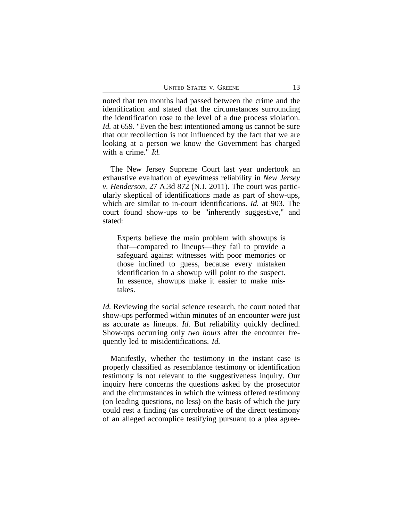noted that ten months had passed between the crime and the identification and stated that the circumstances surrounding the identification rose to the level of a due process violation. *Id.* at 659. "Even the best intentioned among us cannot be sure that our recollection is not influenced by the fact that we are looking at a person we know the Government has charged with a crime." *Id.*

The New Jersey Supreme Court last year undertook an exhaustive evaluation of eyewitness reliability in *New Jersey v. Henderson*, 27 A.3d 872 (N.J. 2011). The court was particularly skeptical of identifications made as part of show-ups, which are similar to in-court identifications. *Id.* at 903. The court found show-ups to be "inherently suggestive," and stated:

Experts believe the main problem with showups is that—compared to lineups—they fail to provide a safeguard against witnesses with poor memories or those inclined to guess, because every mistaken identification in a showup will point to the suspect. In essence, showups make it easier to make mistakes.

*Id.* Reviewing the social science research, the court noted that show-ups performed within minutes of an encounter were just as accurate as lineups. *Id.* But reliability quickly declined. Show-ups occurring only *two hours* after the encounter frequently led to misidentifications. *Id.*

Manifestly, whether the testimony in the instant case is properly classified as resemblance testimony or identification testimony is not relevant to the suggestiveness inquiry. Our inquiry here concerns the questions asked by the prosecutor and the circumstances in which the witness offered testimony (on leading questions, no less) on the basis of which the jury could rest a finding (as corroborative of the direct testimony of an alleged accomplice testifying pursuant to a plea agree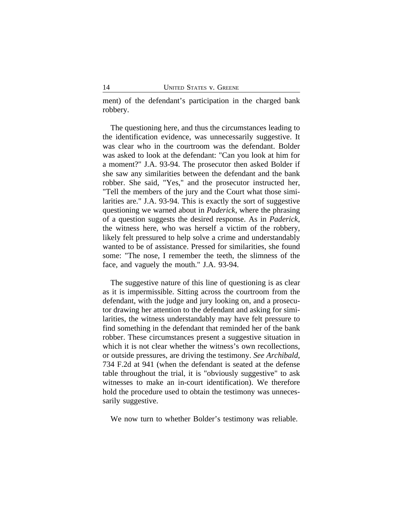ment) of the defendant's participation in the charged bank robbery.

The questioning here, and thus the circumstances leading to the identification evidence, was unnecessarily suggestive. It was clear who in the courtroom was the defendant. Bolder was asked to look at the defendant: "Can you look at him for a moment?" J.A. 93-94. The prosecutor then asked Bolder if she saw any similarities between the defendant and the bank robber. She said, "Yes," and the prosecutor instructed her, "Tell the members of the jury and the Court what those similarities are." J.A. 93-94. This is exactly the sort of suggestive questioning we warned about in *Paderick*, where the phrasing of a question suggests the desired response. As in *Paderick*, the witness here, who was herself a victim of the robbery, likely felt pressured to help solve a crime and understandably wanted to be of assistance. Pressed for similarities, she found some: "The nose, I remember the teeth, the slimness of the face, and vaguely the mouth." J.A. 93-94.

The suggestive nature of this line of questioning is as clear as it is impermissible. Sitting across the courtroom from the defendant, with the judge and jury looking on, and a prosecutor drawing her attention to the defendant and asking for similarities, the witness understandably may have felt pressure to find something in the defendant that reminded her of the bank robber. These circumstances present a suggestive situation in which it is not clear whether the witness's own recollections, or outside pressures, are driving the testimony. *See Archibald*, 734 F.2d at 941 (when the defendant is seated at the defense table throughout the trial, it is "obviously suggestive" to ask witnesses to make an in-court identification). We therefore hold the procedure used to obtain the testimony was unnecessarily suggestive.

We now turn to whether Bolder's testimony was reliable.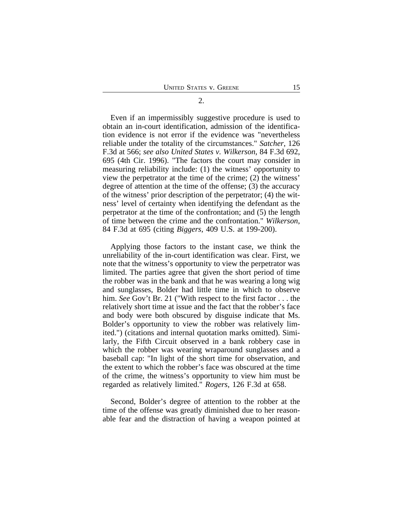Even if an impermissibly suggestive procedure is used to obtain an in-court identification, admission of the identification evidence is not error if the evidence was "nevertheless reliable under the totality of the circumstances." *Satcher*, 126 F.3d at 566; *see also United States v. Wilkerson*, 84 F.3d 692, 695 (4th Cir. 1996). "The factors the court may consider in measuring reliability include: (1) the witness' opportunity to view the perpetrator at the time of the crime; (2) the witness' degree of attention at the time of the offense; (3) the accuracy of the witness' prior description of the perpetrator; (4) the witness' level of certainty when identifying the defendant as the perpetrator at the time of the confrontation; and (5) the length of time between the crime and the confrontation." *Wilkerson*, 84 F.3d at 695 (citing *Biggers*, 409 U.S. at 199-200).

Applying those factors to the instant case, we think the unreliability of the in-court identification was clear. First, we note that the witness's opportunity to view the perpetrator was limited. The parties agree that given the short period of time the robber was in the bank and that he was wearing a long wig and sunglasses, Bolder had little time in which to observe him. *See* Gov't Br. 21 ("With respect to the first factor . . . the relatively short time at issue and the fact that the robber's face and body were both obscured by disguise indicate that Ms. Bolder's opportunity to view the robber was relatively limited.") (citations and internal quotation marks omitted). Similarly, the Fifth Circuit observed in a bank robbery case in which the robber was wearing wraparound sunglasses and a baseball cap: "In light of the short time for observation, and the extent to which the robber's face was obscured at the time of the crime, the witness's opportunity to view him must be regarded as relatively limited." *Rogers*, 126 F.3d at 658.

Second, Bolder's degree of attention to the robber at the time of the offense was greatly diminished due to her reasonable fear and the distraction of having a weapon pointed at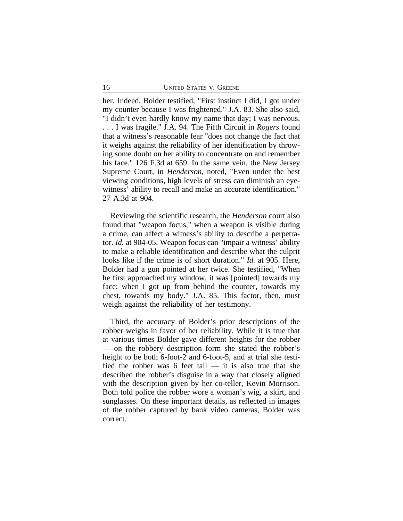her. Indeed, Bolder testified, "First instinct I did, I got under my counter because I was frightened." J.A. 83. She also said, "I didn't even hardly know my name that day; I was nervous. . . . I was fragile." J.A. 94. The Fifth Circuit in *Rogers* found that a witness's reasonable fear "does not change the fact that it weighs against the reliability of her identification by throwing some doubt on her ability to concentrate on and remember his face." 126 F.3d at 659. In the same vein, the New Jersey Supreme Court, in *Henderson*, noted, "Even under the best viewing conditions, high levels of stress can diminish an eyewitness' ability to recall and make an accurate identification." 27 A.3d at 904.

Reviewing the scientific research, the *Henderson* court also found that "weapon focus," when a weapon is visible during a crime, can affect a witness's ability to describe a perpetrator. *Id.* at 904-05. Weapon focus can "impair a witness' ability to make a reliable identification and describe what the culprit looks like if the crime is of short duration." *Id.* at 905. Here, Bolder had a gun pointed at her twice. She testified, "When he first approached my window, it was [pointed] towards my face; when I got up from behind the counter, towards my chest, towards my body." J.A. 85. This factor, then, must weigh against the reliability of her testimony.

Third, the accuracy of Bolder's prior descriptions of the robber weighs in favor of her reliability. While it is true that at various times Bolder gave different heights for the robber — on the robbery description form she stated the robber's height to be both 6-foot-2 and 6-foot-5, and at trial she testified the robber was 6 feet tall  $-$  it is also true that she described the robber's disguise in a way that closely aligned with the description given by her co-teller, Kevin Morrison. Both told police the robber wore a woman's wig, a skirt, and sunglasses. On these important details, as reflected in images of the robber captured by bank video cameras, Bolder was correct.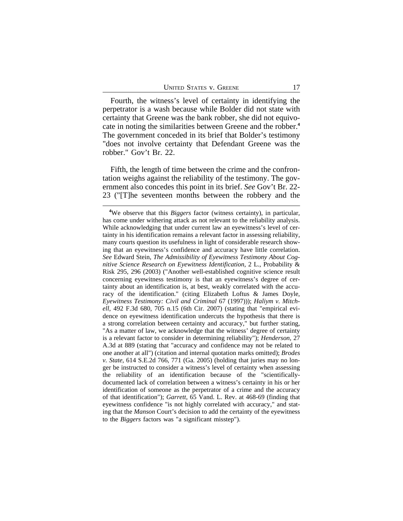Fourth, the witness's level of certainty in identifying the perpetrator is a wash because while Bolder did not state with certainty that Greene was the bank robber, she did not equivocate in noting the similarities between Greene and the robber.**<sup>4</sup>** The government conceded in its brief that Bolder's testimony "does not involve certainty that Defendant Greene was the robber." Gov't Br. 22.

Fifth, the length of time between the crime and the confrontation weighs against the reliability of the testimony. The government also concedes this point in its brief. *See* Gov't Br. 22- 23 ("[T]he seventeen months between the robbery and the

**<sup>4</sup>**We observe that this *Biggers* factor (witness certainty), in particular, has come under withering attack as not relevant to the reliability analysis. While acknowledging that under current law an eyewitness's level of certainty in his identification remains a relevant factor in assessing reliability, many courts question its usefulness in light of considerable research showing that an eyewitness's confidence and accuracy have little correlation. *See* Edward Stein, *The Admissibility of Eyewitness Testimony About Cognitive Science Research on Eyewitness Identification*, 2 L., Probability & Risk 295, 296 (2003) ("Another well-established cognitive science result concerning eyewitness testimony is that an eyewitness's degree of certainty about an identification is, at best, weakly correlated with the accuracy of the identification." (citing Elizabeth Loftus & James Doyle, *Eyewitness Testimony: Civil and Criminal* 67 (1997))); *Haliym v. Mitchell*, 492 F.3d 680, 705 n.15 (6th Cir. 2007) (stating that "empirical evidence on eyewitness identification undercuts the hypothesis that there is a strong correlation between certainty and accuracy," but further stating, "As a matter of law, we acknowledge that the witness' degree of certainty is a relevant factor to consider in determining reliability"); *Henderson*, 27 A.3d at 889 (stating that "accuracy and confidence may not be related to one another at all") (citation and internal quotation marks omitted); *Brodes v. State*, 614 S.E.2d 766, 771 (Ga. 2005) (holding that juries may no longer be instructed to consider a witness's level of certainty when assessing the reliability of an identification because of the "scientificallydocumented lack of correlation between a witness's certainty in his or her identification of someone as the perpetrator of a crime and the accuracy of that identification"); *Garrett*, 65 Vand. L. Rev. at 468-69 (finding that eyewitness confidence "is not highly correlated with accuracy," and stating that the *Manson* Court's decision to add the certainty of the eyewitness to the *Biggers* factors was "a significant misstep").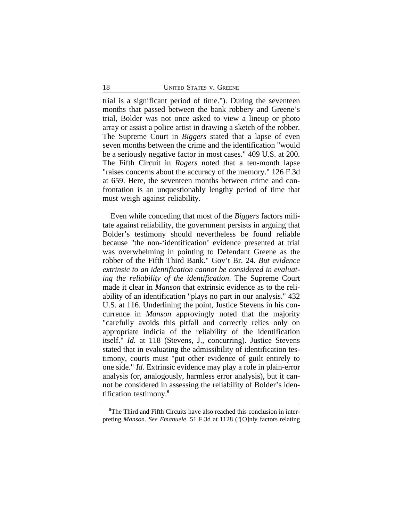trial is a significant period of time."). During the seventeen months that passed between the bank robbery and Greene's trial, Bolder was not once asked to view a lineup or photo array or assist a police artist in drawing a sketch of the robber. The Supreme Court in *Biggers* stated that a lapse of even seven months between the crime and the identification "would be a seriously negative factor in most cases." 409 U.S. at 200. The Fifth Circuit in *Rogers* noted that a ten-month lapse "raises concerns about the accuracy of the memory." 126 F.3d at 659. Here, the seventeen months between crime and confrontation is an unquestionably lengthy period of time that must weigh against reliability.

Even while conceding that most of the *Biggers* factors militate against reliability, the government persists in arguing that Bolder's testimony should nevertheless be found reliable because "the non-'identification' evidence presented at trial was overwhelming in pointing to Defendant Greene as the robber of the Fifth Third Bank." Gov't Br. 24. *But evidence extrinsic to an identification cannot be considered in evaluating the reliability of the identification*. The Supreme Court made it clear in *Manson* that extrinsic evidence as to the reliability of an identification "plays no part in our analysis." 432 U.S. at 116. Underlining the point, Justice Stevens in his concurrence in *Manson* approvingly noted that the majority "carefully avoids this pitfall and correctly relies only on appropriate indicia of the reliability of the identification itself." *Id.* at 118 (Stevens, J., concurring). Justice Stevens stated that in evaluating the admissibility of identification testimony, courts must "put other evidence of guilt entirely to one side." *Id.* Extrinsic evidence may play a role in plain-error analysis (or, analogously, harmless error analysis), but it cannot be considered in assessing the reliability of Bolder's identification testimony.**<sup>5</sup>**

**<sup>5</sup>**The Third and Fifth Circuits have also reached this conclusion in interpreting *Manson*. *See Emanuele*, 51 F.3d at 1128 ("[O]nly factors relating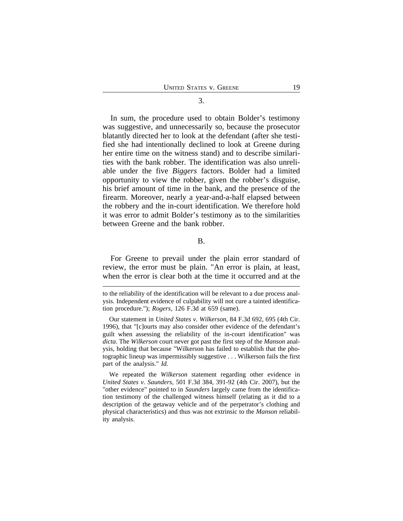In sum, the procedure used to obtain Bolder's testimony was suggestive, and unnecessarily so, because the prosecutor blatantly directed her to look at the defendant (after she testified she had intentionally declined to look at Greene during her entire time on the witness stand) and to describe similarities with the bank robber. The identification was also unreliable under the five *Biggers* factors. Bolder had a limited opportunity to view the robber, given the robber's disguise, his brief amount of time in the bank, and the presence of the firearm. Moreover, nearly a year-and-a-half elapsed between the robbery and the in-court identification. We therefore hold it was error to admit Bolder's testimony as to the similarities between Greene and the bank robber.

B.

For Greene to prevail under the plain error standard of review, the error must be plain. "An error is plain, at least, when the error is clear both at the time it occurred and at the

to the reliability of the identification will be relevant to a due process analysis. Independent evidence of culpability will not cure a tainted identification procedure."); *Rogers*, 126 F.3d at 659 (same).

Our statement in *United States v. Wilkerson*, 84 F.3d 692, 695 (4th Cir. 1996), that "[c]ourts may also consider other evidence of the defendant's guilt when assessing the reliability of the in-court identification" was *dicta*. The *Wilkerson* court never got past the first step of the *Manson* analysis, holding that because "Wilkerson has failed to establish that the photographic lineup was impermissibly suggestive . . . Wilkerson fails the first part of the analysis." *Id.*

We repeated the *Wilkerson* statement regarding other evidence in *United States v. Saunders*, 501 F.3d 384, 391-92 (4th Cir. 2007), but the "other evidence" pointed to in *Saunders* largely came from the identification testimony of the challenged witness himself (relating as it did to a description of the getaway vehicle and of the perpetrator's clothing and physical characteristics) and thus was not extrinsic to the *Manson* reliability analysis.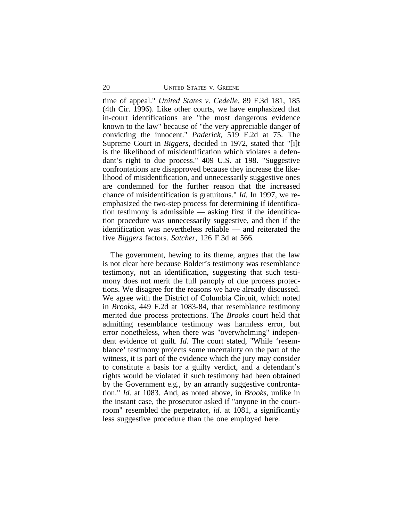time of appeal." *United States v. Cedelle*, 89 F.3d 181, 185 (4th Cir. 1996). Like other courts, we have emphasized that in-court identifications are "the most dangerous evidence known to the law" because of "the very appreciable danger of convicting the innocent." *Paderick*, 519 F.2d at 75. The Supreme Court in *Biggers*, decided in 1972, stated that "[i]t is the likelihood of misidentification which violates a defendant's right to due process." 409 U.S. at 198. "Suggestive confrontations are disapproved because they increase the likelihood of misidentification, and unnecessarily suggestive ones are condemned for the further reason that the increased chance of misidentification is gratuitous." *Id.* In 1997, we reemphasized the two-step process for determining if identification testimony is admissible — asking first if the identification procedure was unnecessarily suggestive, and then if the identification was nevertheless reliable — and reiterated the five *Biggers* factors. *Satcher*, 126 F.3d at 566.

The government, hewing to its theme, argues that the law is not clear here because Bolder's testimony was resemblance testimony, not an identification, suggesting that such testimony does not merit the full panoply of due process protections. We disagree for the reasons we have already discussed. We agree with the District of Columbia Circuit, which noted in *Brooks*, 449 F.2d at 1083-84, that resemblance testimony merited due process protections. The *Brooks* court held that admitting resemblance testimony was harmless error, but error nonetheless, when there was "overwhelming" independent evidence of guilt. *Id.* The court stated, "While 'resemblance' testimony projects some uncertainty on the part of the witness, it is part of the evidence which the jury may consider to constitute a basis for a guilty verdict, and a defendant's rights would be violated if such testimony had been obtained by the Government e.g., by an arrantly suggestive confrontation." *Id.* at 1083. And, as noted above, in *Brooks*, unlike in the instant case, the prosecutor asked if "anyone in the courtroom" resembled the perpetrator, *id.* at 1081, a significantly less suggestive procedure than the one employed here.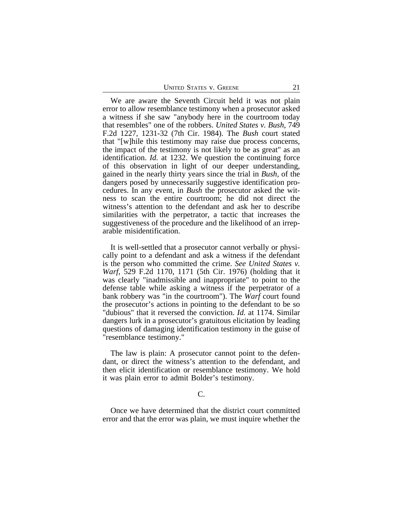| <b>UNITED STATES V. GREENE</b> |  |  |
|--------------------------------|--|--|
|--------------------------------|--|--|

We are aware the Seventh Circuit held it was not plain error to allow resemblance testimony when a prosecutor asked a witness if she saw "anybody here in the courtroom today that resembles" one of the robbers. *United States v. Bush*, 749 F.2d 1227, 1231-32 (7th Cir. 1984). The *Bush* court stated that "[w]hile this testimony may raise due process concerns, the impact of the testimony is not likely to be as great" as an identification. *Id.* at 1232. We question the continuing force of this observation in light of our deeper understanding, gained in the nearly thirty years since the trial in *Bush,* of the dangers posed by unnecessarily suggestive identification procedures. In any event, in *Bush* the prosecutor asked the witness to scan the entire courtroom; he did not direct the witness's attention to the defendant and ask her to describe similarities with the perpetrator, a tactic that increases the suggestiveness of the procedure and the likelihood of an irreparable misidentification.

It is well-settled that a prosecutor cannot verbally or physically point to a defendant and ask a witness if the defendant is the person who committed the crime. *See United States v. Warf*, 529 F.2d 1170, 1171 (5th Cir. 1976) (holding that it was clearly "inadmissible and inappropriate" to point to the defense table while asking a witness if the perpetrator of a bank robbery was "in the courtroom"). The *Warf* court found the prosecutor's actions in pointing to the defendant to be so "dubious" that it reversed the conviction. *Id.* at 1174. Similar dangers lurk in a prosecutor's gratuitous elicitation by leading questions of damaging identification testimony in the guise of "resemblance testimony."

The law is plain: A prosecutor cannot point to the defendant, or direct the witness's attention to the defendant, and then elicit identification or resemblance testimony. We hold it was plain error to admit Bolder's testimony.

#### C.

Once we have determined that the district court committed error and that the error was plain, we must inquire whether the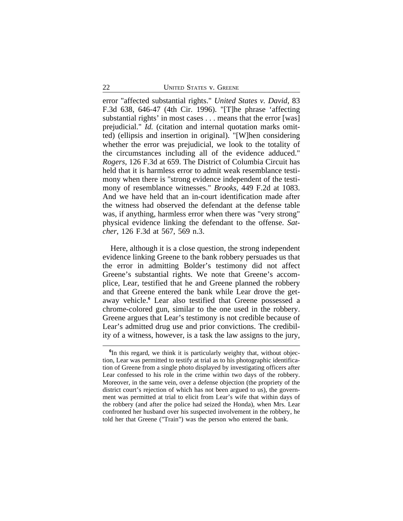error "affected substantial rights." *United States v. David*, 83 F.3d 638, 646-47 (4th Cir. 1996). "[T]he phrase 'affecting substantial rights' in most cases . . . means that the error [was] prejudicial." *Id.* (citation and internal quotation marks omitted) (ellipsis and insertion in original). "[W]hen considering whether the error was prejudicial, we look to the totality of the circumstances including all of the evidence adduced." *Rogers*, 126 F.3d at 659. The District of Columbia Circuit has held that it is harmless error to admit weak resemblance testimony when there is "strong evidence independent of the testimony of resemblance witnesses." *Brooks*, 449 F.2d at 1083. And we have held that an in-court identification made after the witness had observed the defendant at the defense table was, if anything, harmless error when there was "very strong" physical evidence linking the defendant to the offense. *Satcher*, 126 F.3d at 567, 569 n.3.

Here, although it is a close question, the strong independent evidence linking Greene to the bank robbery persuades us that the error in admitting Bolder's testimony did not affect Greene's substantial rights. We note that Greene's accomplice, Lear, testified that he and Greene planned the robbery and that Greene entered the bank while Lear drove the getaway vehicle.**<sup>6</sup>** Lear also testified that Greene possessed a chrome-colored gun, similar to the one used in the robbery. Greene argues that Lear's testimony is not credible because of Lear's admitted drug use and prior convictions. The credibility of a witness, however, is a task the law assigns to the jury,

**<sup>6</sup>** In this regard, we think it is particularly weighty that, without objection, Lear was permitted to testify at trial as to his photographic identification of Greene from a single photo displayed by investigating officers after Lear confessed to his role in the crime within two days of the robbery. Moreover, in the same vein, over a defense objection (the propriety of the district court's rejection of which has not been argued to us), the government was permitted at trial to elicit from Lear's wife that within days of the robbery (and after the police had seized the Honda), when Mrs. Lear confronted her husband over his suspected involvement in the robbery, he told her that Greene ("Train") was the person who entered the bank.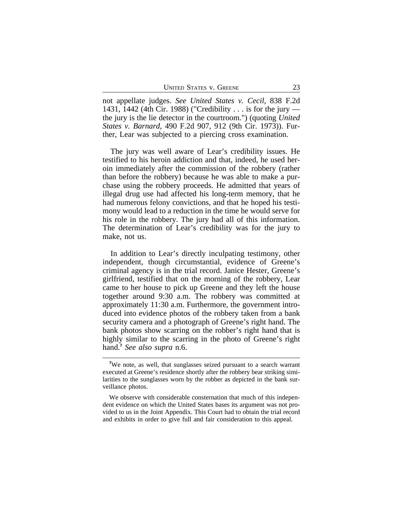not appellate judges. *See United States v. Cecil*, 838 F.2d 1431, 1442 (4th Cir. 1988) ("Credibility . . . is for the jury the jury is the lie detector in the courtroom.") (quoting *United States v. Barnard*, 490 F.2d 907, 912 (9th Cir. 1973)). Further, Lear was subjected to a piercing cross examination.

The jury was well aware of Lear's credibility issues. He testified to his heroin addiction and that, indeed, he used heroin immediately after the commission of the robbery (rather than before the robbery) because he was able to make a purchase using the robbery proceeds. He admitted that years of illegal drug use had affected his long-term memory, that he had numerous felony convictions, and that he hoped his testimony would lead to a reduction in the time he would serve for his role in the robbery. The jury had all of this information. The determination of Lear's credibility was for the jury to make, not us.

In addition to Lear's directly inculpating testimony, other independent, though circumstantial, evidence of Greene's criminal agency is in the trial record. Janice Hester, Greene's girlfriend, testified that on the morning of the robbery, Lear came to her house to pick up Greene and they left the house together around 9:30 a.m. The robbery was committed at approximately 11:30 a.m. Furthermore, the government introduced into evidence photos of the robbery taken from a bank security camera and a photograph of Greene's right hand. The bank photos show scarring on the robber's right hand that is highly similar to the scarring in the photo of Greene's right hand.**<sup>7</sup>** *See also supra* n.6.

<sup>&</sup>lt;sup>7</sup>We note, as well, that sunglasses seized pursuant to a search warrant executed at Greene's residence shortly after the robbery bear striking similarities to the sunglasses worn by the robber as depicted in the bank surveillance photos.

We observe with considerable consternation that much of this independent evidence on which the United States bases its argument was not provided to us in the Joint Appendix. This Court had to obtain the trial record and exhibits in order to give full and fair consideration to this appeal.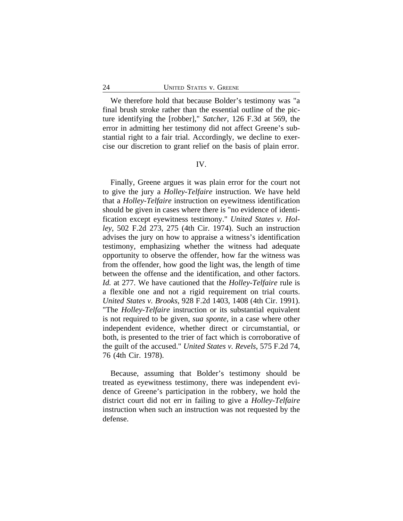We therefore hold that because Bolder's testimony was "a final brush stroke rather than the essential outline of the picture identifying the [robber]," *Satcher*, 126 F.3d at 569, the error in admitting her testimony did not affect Greene's substantial right to a fair trial. Accordingly, we decline to exercise our discretion to grant relief on the basis of plain error.

#### IV.

Finally, Greene argues it was plain error for the court not to give the jury a *Holley*-*Telfaire* instruction. We have held that a *Holley*-*Telfaire* instruction on eyewitness identification should be given in cases where there is "no evidence of identification except eyewitness testimony." *United States v. Holley*, 502 F.2d 273, 275 (4th Cir. 1974). Such an instruction advises the jury on how to appraise a witness's identification testimony, emphasizing whether the witness had adequate opportunity to observe the offender, how far the witness was from the offender, how good the light was, the length of time between the offense and the identification, and other factors. *Id.* at 277. We have cautioned that the *Holley*-*Telfaire* rule is a flexible one and not a rigid requirement on trial courts. *United States v. Brooks*, 928 F.2d 1403, 1408 (4th Cir. 1991). "The *Holley*-*Telfaire* instruction or its substantial equivalent is not required to be given, *sua sponte*, in a case where other independent evidence, whether direct or circumstantial, or both, is presented to the trier of fact which is corroborative of the guilt of the accused." *United States v. Revels*, 575 F.2d 74, 76 (4th Cir. 1978).

Because, assuming that Bolder's testimony should be treated as eyewitness testimony, there was independent evidence of Greene's participation in the robbery, we hold the district court did not err in failing to give a *Holley*-*Telfaire* instruction when such an instruction was not requested by the defense.